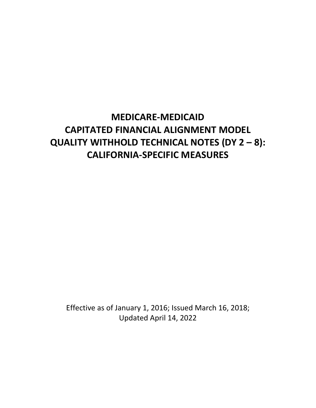# **MEDICARE-MEDICAID CAPITATED FINANCIAL ALIGNMENT MODEL QUALITY WITHHOLD TECHNICAL NOTES (DY 2 – 8): CALIFORNIA-SPECIFIC MEASURES**

Effective as of January 1, 2016; Issued March 16, 2018; Updated April 14, 2022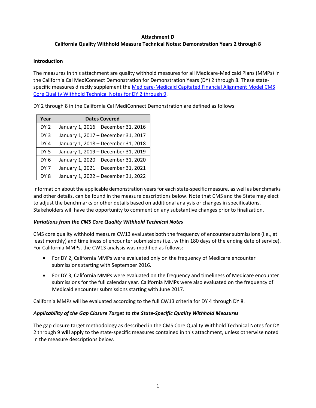### **Attachment D California Quality Withhold Measure Technical Notes: Demonstration Years 2 through 8**

## **Introduction**

The measures in this attachment are quality withhold measures for all Medicare-Medicaid Plans (MMPs) in the California Cal MediConnect Demonstration for Demonstration Years (DY) 2 through 8. These statespecific measures directly supplement the [Medicare-Medicaid Capitated Financial Alignment Model CMS](https://www.cms.gov/files/document/mmpqualitywithholdtechnicalnotesdy2-9.pdf)  [Core Quality Withhold Technical Notes for DY 2 through 9.](https://www.cms.gov/files/document/mmpqualitywithholdtechnicalnotesdy2-9.pdf)

DY 2 through 8 in the California Cal MediConnect Demonstration are defined as follows:

| Year            | <b>Dates Covered</b>                |
|-----------------|-------------------------------------|
| DY <sub>2</sub> | January 1, 2016 - December 31, 2016 |
| DY <sub>3</sub> | January 1, 2017 - December 31, 2017 |
| DY <sub>4</sub> | January 1, 2018 - December 31, 2018 |
| DY <sub>5</sub> | January 1, 2019 - December 31, 2019 |
| DY <sub>6</sub> | January 1, 2020 - December 31, 2020 |
| DY <sub>7</sub> | January 1, 2021 - December 31, 2021 |
| DY <sub>8</sub> | January 1, 2022 - December 31, 2022 |

Information about the applicable demonstration years for each state-specific measure, as well as benchmarks and other details, can be found in the measure descriptions below. Note that CMS and the State may elect to adjust the benchmarks or other details based on additional analysis or changes in specifications. Stakeholders will have the opportunity to comment on any substantive changes prior to finalization.

## *Variations from the CMS Core Quality Withhold Technical Notes*

CMS core quality withhold measure CW13 evaluates both the frequency of encounter submissions (i.e., at least monthly) and timeliness of encounter submissions (i.e., within 180 days of the ending date of service). For California MMPs, the CW13 analysis was modified as follows:

- For DY 2, California MMPs were evaluated only on the frequency of Medicare encounter submissions starting with September 2016.
- For DY 3, California MMPs were evaluated on the frequency and timeliness of Medicare encounter submissions for the full calendar year. California MMPs were also evaluated on the frequency of Medicaid encounter submissions starting with June 2017.

California MMPs will be evaluated according to the full CW13 criteria for DY 4 through DY 8.

## *Applicability of the Gap Closure Target to the State-Specific Quality Withhold Measures*

The gap closure target methodology as described in the CMS Core Quality Withhold Technical Notes for DY 2 through 9 **will** apply to the state-specific measures contained in this attachment, unless otherwise noted in the measure descriptions below.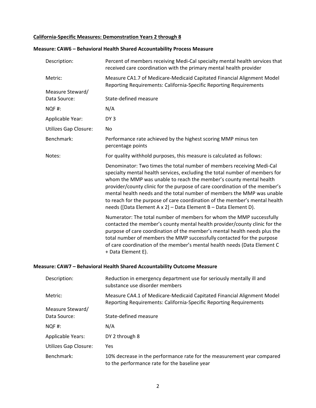#### **California-Specific Measures: Demonstration Years 2 through 8**

| Description:                     | Percent of members receiving Medi-Cal specialty mental health services that<br>received care coordination with the primary mental health provider                                                                                                                                                                                                                                                                                                                                                                                     |
|----------------------------------|---------------------------------------------------------------------------------------------------------------------------------------------------------------------------------------------------------------------------------------------------------------------------------------------------------------------------------------------------------------------------------------------------------------------------------------------------------------------------------------------------------------------------------------|
| Metric:                          | Measure CA1.7 of Medicare-Medicaid Capitated Financial Alignment Model<br>Reporting Requirements: California-Specific Reporting Requirements                                                                                                                                                                                                                                                                                                                                                                                          |
| Measure Steward/<br>Data Source: | State-defined measure                                                                                                                                                                                                                                                                                                                                                                                                                                                                                                                 |
|                                  |                                                                                                                                                                                                                                                                                                                                                                                                                                                                                                                                       |
| NQF#:                            | N/A                                                                                                                                                                                                                                                                                                                                                                                                                                                                                                                                   |
| Applicable Year:                 | DY <sub>3</sub>                                                                                                                                                                                                                                                                                                                                                                                                                                                                                                                       |
| <b>Utilizes Gap Closure:</b>     | No                                                                                                                                                                                                                                                                                                                                                                                                                                                                                                                                    |
| Benchmark:                       | Performance rate achieved by the highest scoring MMP minus ten<br>percentage points                                                                                                                                                                                                                                                                                                                                                                                                                                                   |
| Notes:                           | For quality withhold purposes, this measure is calculated as follows:                                                                                                                                                                                                                                                                                                                                                                                                                                                                 |
|                                  | Denominator: Two times the total number of members receiving Medi-Cal<br>specialty mental health services, excluding the total number of members for<br>whom the MMP was unable to reach the member's county mental health<br>provider/county clinic for the purpose of care coordination of the member's<br>mental health needs and the total number of members the MMP was unable<br>to reach for the purpose of care coordination of the member's mental health<br>needs ([Data Element A x 2] - Data Element B - Data Element D). |
|                                  | Numerator: The total number of members for whom the MMP successfully<br>contacted the member's county mental health provider/county clinic for the<br>purpose of care coordination of the member's mental health needs plus the<br>total number of members the MMP successfully contacted for the purpose<br>of care coordination of the member's mental health needs (Data Element C<br>+ Data Element E).                                                                                                                           |
|                                  | Measure: CAW7 - Behavioral Health Shared Accountability Outcome Measure                                                                                                                                                                                                                                                                                                                                                                                                                                                               |
| Description:                     | Reduction in emergency department use for seriously mentally ill and<br>substance use disorder members                                                                                                                                                                                                                                                                                                                                                                                                                                |
| Metric:                          | Measure CA4.1 of Medicare-Medicaid Capitated Financial Alignment Model<br>Reporting Requirements: California-Specific Reporting Requirements                                                                                                                                                                                                                                                                                                                                                                                          |
| Measure Steward/<br>Data Source: | State-defined measure                                                                                                                                                                                                                                                                                                                                                                                                                                                                                                                 |
| NQF#:                            | N/A                                                                                                                                                                                                                                                                                                                                                                                                                                                                                                                                   |
| <b>Applicable Years:</b>         | DY 2 through 8                                                                                                                                                                                                                                                                                                                                                                                                                                                                                                                        |

# **Measure: CAW6 – Behavioral Health Shared Accountability Process Measure**

Utilizes Gap Closure: Yes

Benchmark: 10% decrease in the performance rate for the measurement year compared to the performance rate for the baseline year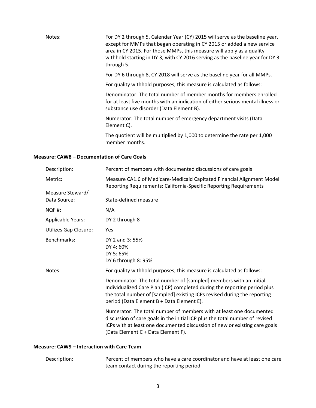| Notes: | For DY 2 through 5, Calendar Year (CY) 2015 will serve as the baseline year,<br>except for MMPs that began operating in CY 2015 or added a new service<br>area in CY 2015. For those MMPs, this measure will apply as a quality<br>withhold starting in DY 3, with CY 2016 serving as the baseline year for DY 3<br>through 5. |
|--------|--------------------------------------------------------------------------------------------------------------------------------------------------------------------------------------------------------------------------------------------------------------------------------------------------------------------------------|
|        | For DY 6 through 8, CY 2018 will serve as the baseline year for all MMPs.                                                                                                                                                                                                                                                      |
|        | For quality withhold purposes, this measure is calculated as follows:                                                                                                                                                                                                                                                          |
|        | Denominator: The total number of member months for members enrolled<br>for at least five months with an indication of either serious mental illness or<br>substance use disorder (Data Element B).                                                                                                                             |
|        | Numerator: The total number of emergency department visits (Data<br>Element C).                                                                                                                                                                                                                                                |
|        | The quotient will be multiplied by 1,000 to determine the rate per 1,000<br>member months.                                                                                                                                                                                                                                     |

#### **Measure: CAW8 – Documentation of Care Goals**

| Description:             | Percent of members with documented discussions of care goals                                                                                                                                                                                                             |
|--------------------------|--------------------------------------------------------------------------------------------------------------------------------------------------------------------------------------------------------------------------------------------------------------------------|
| Metric:                  | Measure CA1.6 of Medicare-Medicaid Capitated Financial Alignment Model<br>Reporting Requirements: California-Specific Reporting Requirements                                                                                                                             |
| Measure Steward/         |                                                                                                                                                                                                                                                                          |
| Data Source:             | State-defined measure                                                                                                                                                                                                                                                    |
| NQF#:                    | N/A                                                                                                                                                                                                                                                                      |
| <b>Applicable Years:</b> | DY 2 through 8                                                                                                                                                                                                                                                           |
| Utilizes Gap Closure:    | Yes                                                                                                                                                                                                                                                                      |
| Benchmarks:              | DY 2 and 3:55%<br>DY 4:60%<br>DY 5:65%<br>DY 6 through 8: 95%                                                                                                                                                                                                            |
| Notes:                   | For quality withhold purposes, this measure is calculated as follows:                                                                                                                                                                                                    |
|                          | Denominator: The total number of [sampled] members with an initial<br>Individualized Care Plan (ICP) completed during the reporting period plus<br>the total number of [sampled] existing ICPs revised during the reporting<br>period (Data Element B + Data Element E). |
|                          | Numerator: The total number of members with at least one documented<br>discussion of care goals in the initial ICP plus the total number of revised<br>ICPs with at least one documented discussion of new or existing care goals<br>(Data Element C + Data Element F).  |

## **Measure: CAW9 – Interaction with Care Team**

Description: Percent of members who have a care coordinator and have at least one care team contact during the reporting period